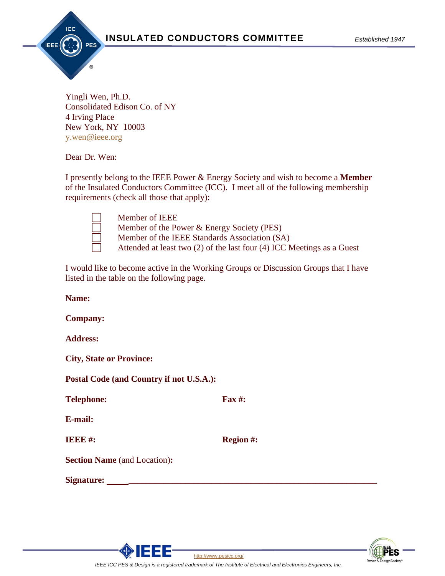

Yingli Wen, Ph.D. Consolidated Edison Co. of NY 4 Irving Place New York, NY 10003 [y.wen@ieee.org](mailto:r.bascom@ec-engineers.com)

Dear Dr. Wen:

I presently belong to the IEEE Power & Energy Society and wish to become a **Member** of the Insulated Conductors Committee (ICC). I meet all of the following membership requirements (check all those that apply):

Member of IEEE

- Member of the Power & Energy Society (PES)
- Member of the IEEE Standards Association (SA)
- Attended at least two (2) of the last four (4) ICC Meetings as a Guest

I would like to become active in the Working Groups or Discussion Groups that I have listed in the table on the following page.

| Name:                                    |                  |
|------------------------------------------|------------------|
| <b>Company:</b>                          |                  |
| <b>Address:</b>                          |                  |
| <b>City, State or Province:</b>          |                  |
| Postal Code (and Country if not U.S.A.): |                  |
| <b>Telephone:</b>                        | Fax $#$ :        |
| E-mail:                                  |                  |
| <b>IEEE#:</b>                            | <b>Region #:</b> |
| <b>Section Name</b> (and Location):      |                  |
| Signature:                               |                  |
|                                          |                  |